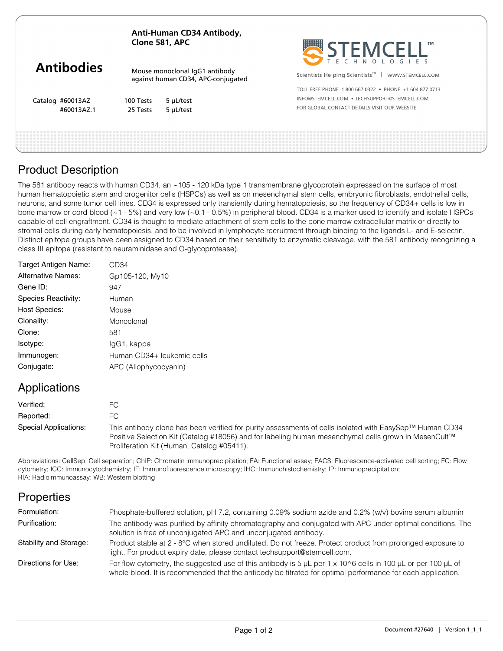|                   | Anti-Human CD34 Antibody,<br>Clone 581, APC                          |           | STEMCELL"                                                      |
|-------------------|----------------------------------------------------------------------|-----------|----------------------------------------------------------------|
| <b>Antibodies</b> | Mouse monoclonal IgG1 antibody<br>against human CD34, APC-conjugated |           | Scientists Helping Scientists <sup>™</sup><br>WWW.STEMCELL.COM |
|                   |                                                                      |           | TOLL FREE PHONE 1800 667 0322 . PHONE +1 604 877 0713          |
| Catalog #60013AZ  | 100 Tests                                                            | 5 µL/test | INFO@STEMCELL.COM . TECHSUPPORT@STEMCELL.COM                   |
| #60013AZ.1        | 25 Tests                                                             | 5 µL/test | FOR GLOBAL CONTACT DETAILS VISIT OUR WEBSITE                   |
|                   |                                                                      |           |                                                                |

# Product Description

The 581 antibody reacts with human CD34, an ~105 - 120 kDa type 1 transmembrane glycoprotein expressed on the surface of most human hematopoietic stem and progenitor cells (HSPCs) as well as on mesenchymal stem cells, embryonic fibroblasts, endothelial cells, neurons, and some tumor cell lines. CD34 is expressed only transiently during hematopoiesis, so the frequency of CD34+ cells is low in bone marrow or cord blood (~1 - 5%) and very low (~0.1 - 0.5%) in peripheral blood. CD34 is a marker used to identify and isolate HSPCs capable of cell engraftment. CD34 is thought to mediate attachment of stem cells to the bone marrow extracellular matrix or directly to stromal cells during early hematopoiesis, and to be involved in lymphocyte recruitment through binding to the ligands L- and E-selectin. Distinct epitope groups have been assigned to CD34 based on their sensitivity to enzymatic cleavage, with the 581 antibody recognizing a class III epitope (resistant to neuraminidase and O-glycoprotease).

| Target Antigen Name:      | CD34                       |
|---------------------------|----------------------------|
| <b>Alternative Names:</b> | Gp105-120, My10            |
| Gene ID:                  | 947                        |
| Species Reactivity:       | Human                      |
| <b>Host Species:</b>      | Mouse                      |
| Clonality:                | Monoclonal                 |
| Clone:                    | 581                        |
| Isotype:                  | lgG1, kappa                |
| Immunogen:                | Human CD34+ leukemic cells |
| Conjugate:                | APC (Allophycocyanin)      |
|                           |                            |

### Applications

| Verified:             | FC                                                                                                                                                                                                                                                            |
|-----------------------|---------------------------------------------------------------------------------------------------------------------------------------------------------------------------------------------------------------------------------------------------------------|
| Reported:             | FC.                                                                                                                                                                                                                                                           |
| Special Applications: | This antibody clone has been verified for purity assessments of cells isolated with EasySep™ Human CD34<br>Positive Selection Kit (Catalog #18056) and for labeling human mesenchymal cells grown in MesenCult™<br>Proliferation Kit (Human; Catalog #05411). |

Abbreviations: CellSep: Cell separation; ChIP: Chromatin immunoprecipitation; FA: Functional assay; FACS: Fluorescence-activated cell sorting; FC: Flow cytometry; ICC: Immunocytochemistry; IF: Immunofluorescence microscopy; IHC: Immunohistochemistry; IP: Immunoprecipitation; RIA: Radioimmunoassay; WB: Western blotting

# **Properties**

| Formulation:           | Phosphate-buffered solution, pH 7.2, containing 0.09% sodium azide and 0.2% (w/v) bovine serum albumin                                                                                                                                    |
|------------------------|-------------------------------------------------------------------------------------------------------------------------------------------------------------------------------------------------------------------------------------------|
| Purification:          | The antibody was purified by affinity chromatography and conjugated with APC under optimal conditions. The<br>solution is free of unconjugated APC and unconjugated antibody.                                                             |
| Stability and Storage: | Product stable at 2 - 8°C when stored undiluted. Do not freeze. Protect product from prolonged exposure to<br>light. For product expiry date, please contact techsupport@stemcell.com.                                                    |
| Directions for Use:    | For flow cytometry, the suggested use of this antibody is 5 $\mu$ L per 1 x 10^6 cells in 100 $\mu$ L or per 100 $\mu$ L of<br>whole blood. It is recommended that the antibody be titrated for optimal performance for each application. |